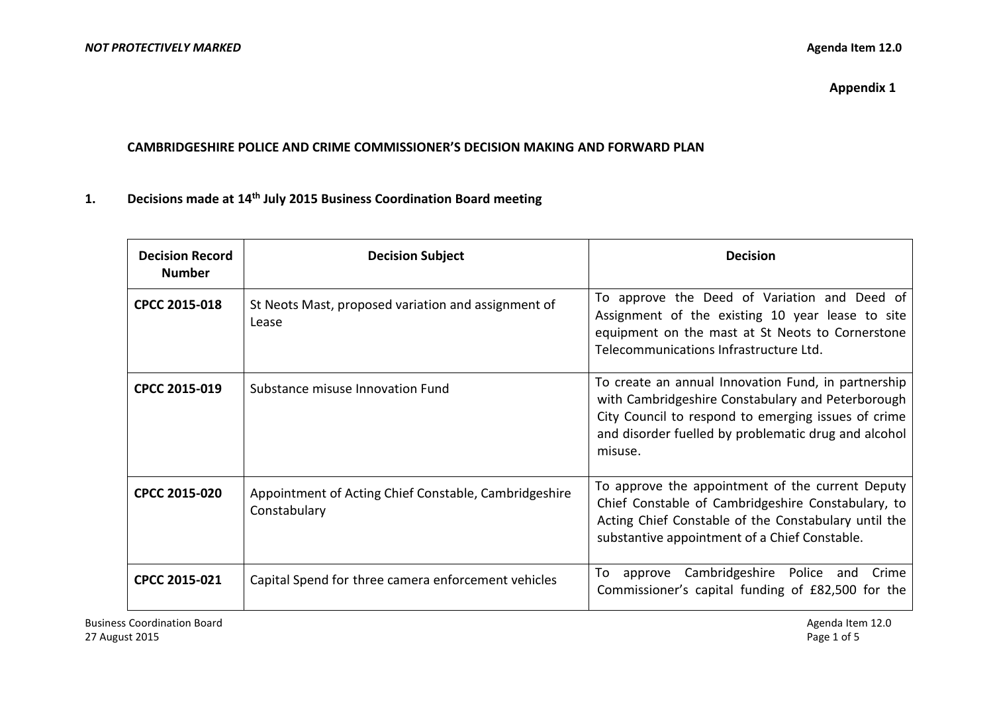**Appendix 1**

#### **CAMBRIDGESHIRE POLICE AND CRIME COMMISSIONER'S DECISION MAKING AND FORWARD PLAN**

### **1. Decisions made at 14 th July 2015 Business Coordination Board meeting**

| <b>Decision Record</b><br><b>Number</b> | <b>Decision Subject</b>                                               | <b>Decision</b>                                                                                                                                                                                                                    |
|-----------------------------------------|-----------------------------------------------------------------------|------------------------------------------------------------------------------------------------------------------------------------------------------------------------------------------------------------------------------------|
| CPCC 2015-018                           | St Neots Mast, proposed variation and assignment of<br>Lease          | To approve the Deed of Variation and Deed of<br>Assignment of the existing 10 year lease to site<br>equipment on the mast at St Neots to Cornerstone<br>Telecommunications Infrastructure Ltd.                                     |
| CPCC 2015-019                           | Substance misuse Innovation Fund                                      | To create an annual Innovation Fund, in partnership<br>with Cambridgeshire Constabulary and Peterborough<br>City Council to respond to emerging issues of crime<br>and disorder fuelled by problematic drug and alcohol<br>misuse. |
| <b>CPCC 2015-020</b>                    | Appointment of Acting Chief Constable, Cambridgeshire<br>Constabulary | To approve the appointment of the current Deputy<br>Chief Constable of Cambridgeshire Constabulary, to<br>Acting Chief Constable of the Constabulary until the<br>substantive appointment of a Chief Constable.                    |
| <b>CPCC 2015-021</b>                    | Capital Spend for three camera enforcement vehicles                   | Cambridgeshire Police and<br>To<br>Crime<br>approve<br>Commissioner's capital funding of £82,500 for the                                                                                                                           |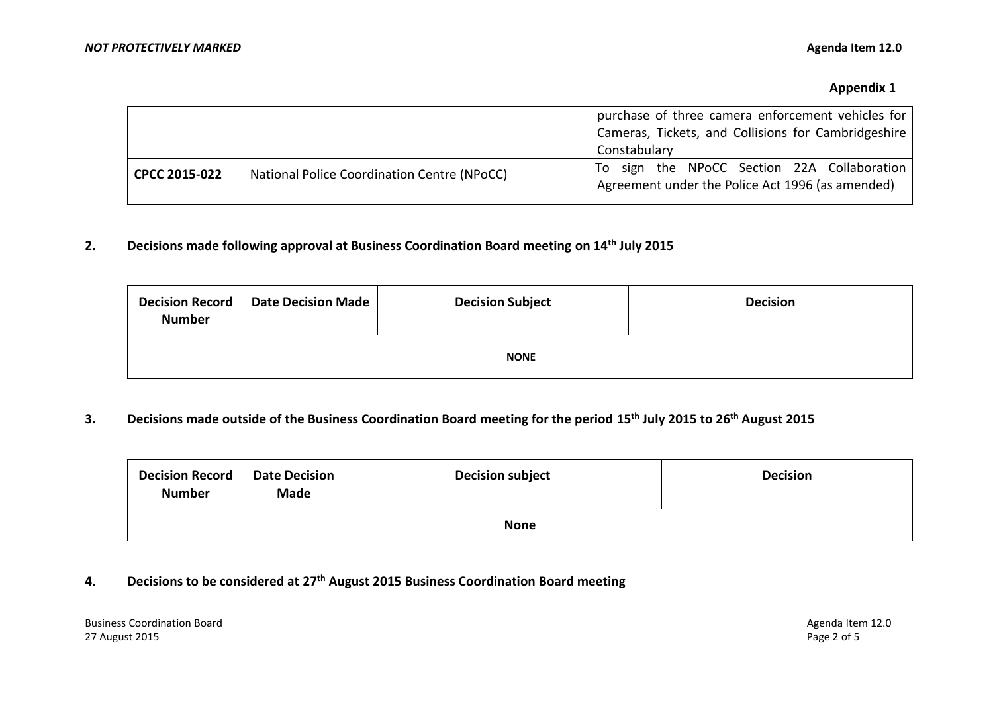|               |                                             | purchase of three camera enforcement vehicles for<br>Cameras, Tickets, and Collisions for Cambridgeshire<br>Constabulary |
|---------------|---------------------------------------------|--------------------------------------------------------------------------------------------------------------------------|
| CPCC 2015-022 | National Police Coordination Centre (NPoCC) | To sign the NPoCC Section 22A Collaboration<br>Agreement under the Police Act 1996 (as amended)                          |

# **2. Decisions made following approval at Business Coordination Board meeting on 14 th July 2015**

| <b>Decision Record</b><br><b>Number</b> | Date Decision Made | <b>Decision Subject</b> | <b>Decision</b> |
|-----------------------------------------|--------------------|-------------------------|-----------------|
|                                         |                    | <b>NONE</b>             |                 |

### **3. Decisions made outside of the Business Coordination Board meeting for the period 15 th July 2015 to 26th August 2015**

| <b>Decision Record</b><br><b>Number</b> | <b>Date Decision</b><br><b>Made</b> | <b>Decision subject</b> | <b>Decision</b> |
|-----------------------------------------|-------------------------------------|-------------------------|-----------------|
| <b>None</b>                             |                                     |                         |                 |

## **4. Decisions to be considered at 27th August 2015 Business Coordination Board meeting**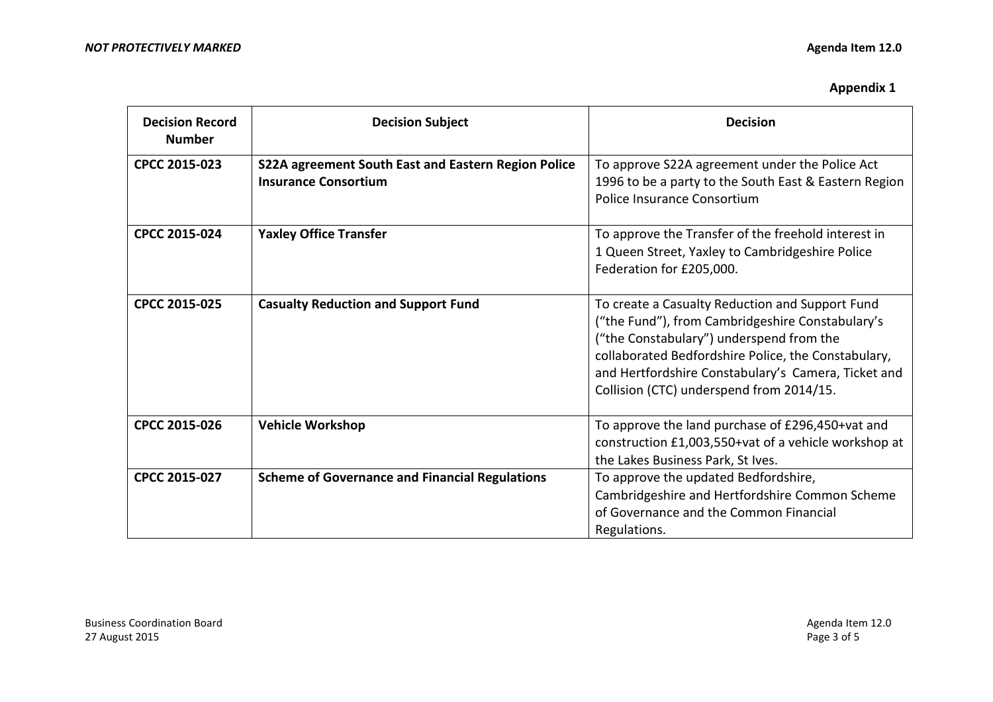| <b>Decision Record</b><br><b>Number</b> | <b>Decision Subject</b>                                                            | <b>Decision</b>                                                                                                                                                                                                                                                                                           |
|-----------------------------------------|------------------------------------------------------------------------------------|-----------------------------------------------------------------------------------------------------------------------------------------------------------------------------------------------------------------------------------------------------------------------------------------------------------|
| CPCC 2015-023                           | S22A agreement South East and Eastern Region Police<br><b>Insurance Consortium</b> | To approve S22A agreement under the Police Act<br>1996 to be a party to the South East & Eastern Region<br>Police Insurance Consortium                                                                                                                                                                    |
| CPCC 2015-024                           | <b>Yaxley Office Transfer</b>                                                      | To approve the Transfer of the freehold interest in<br>1 Queen Street, Yaxley to Cambridgeshire Police<br>Federation for £205,000.                                                                                                                                                                        |
| CPCC 2015-025                           | <b>Casualty Reduction and Support Fund</b>                                         | To create a Casualty Reduction and Support Fund<br>("the Fund"), from Cambridgeshire Constabulary's<br>("the Constabulary") underspend from the<br>collaborated Bedfordshire Police, the Constabulary,<br>and Hertfordshire Constabulary's Camera, Ticket and<br>Collision (CTC) underspend from 2014/15. |
| CPCC 2015-026                           | <b>Vehicle Workshop</b>                                                            | To approve the land purchase of £296,450+vat and<br>construction £1,003,550+vat of a vehicle workshop at<br>the Lakes Business Park, St Ives.                                                                                                                                                             |
| CPCC 2015-027                           | <b>Scheme of Governance and Financial Regulations</b>                              | To approve the updated Bedfordshire,<br>Cambridgeshire and Hertfordshire Common Scheme<br>of Governance and the Common Financial<br>Regulations.                                                                                                                                                          |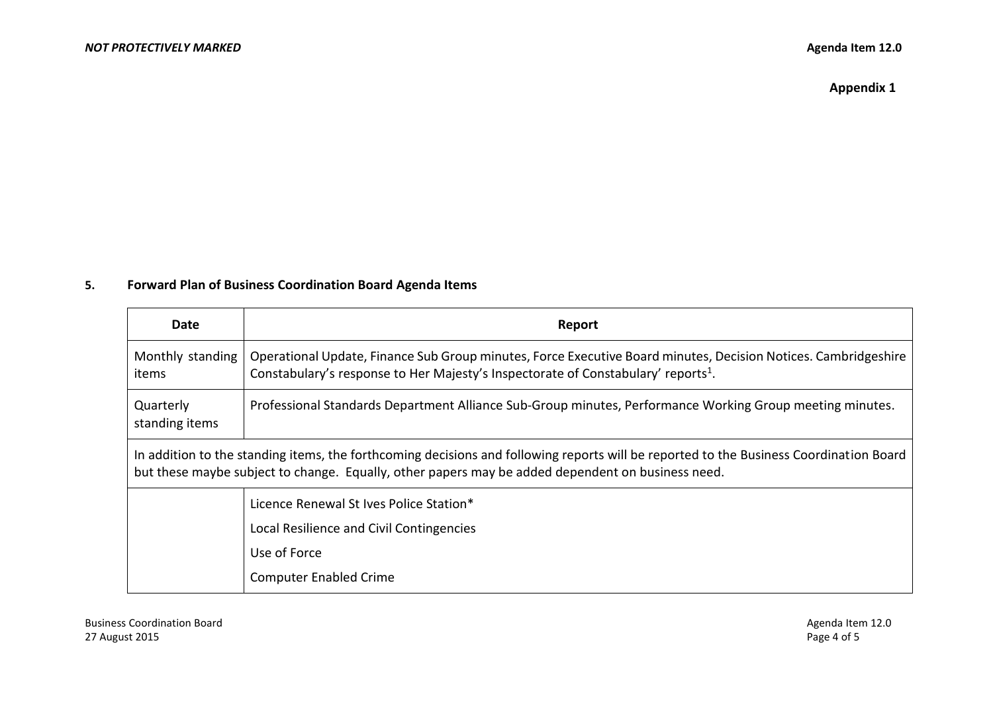**Appendix 1**

# **5. Forward Plan of Business Coordination Board Agenda Items**

| Date                                                                                                                                                                                                                                        | Report                                                                                                                                                                                                          |
|---------------------------------------------------------------------------------------------------------------------------------------------------------------------------------------------------------------------------------------------|-----------------------------------------------------------------------------------------------------------------------------------------------------------------------------------------------------------------|
| Monthly standing<br>items                                                                                                                                                                                                                   | Operational Update, Finance Sub Group minutes, Force Executive Board minutes, Decision Notices. Cambridgeshire<br>Constabulary's response to Her Majesty's Inspectorate of Constabulary' reports <sup>1</sup> . |
| Quarterly<br>standing items                                                                                                                                                                                                                 | Professional Standards Department Alliance Sub-Group minutes, Performance Working Group meeting minutes.                                                                                                        |
| In addition to the standing items, the forthcoming decisions and following reports will be reported to the Business Coordination Board<br>but these maybe subject to change. Equally, other papers may be added dependent on business need. |                                                                                                                                                                                                                 |
|                                                                                                                                                                                                                                             | Licence Renewal St Ives Police Station*                                                                                                                                                                         |
|                                                                                                                                                                                                                                             | Local Resilience and Civil Contingencies                                                                                                                                                                        |
|                                                                                                                                                                                                                                             | Use of Force                                                                                                                                                                                                    |
|                                                                                                                                                                                                                                             | <b>Computer Enabled Crime</b>                                                                                                                                                                                   |